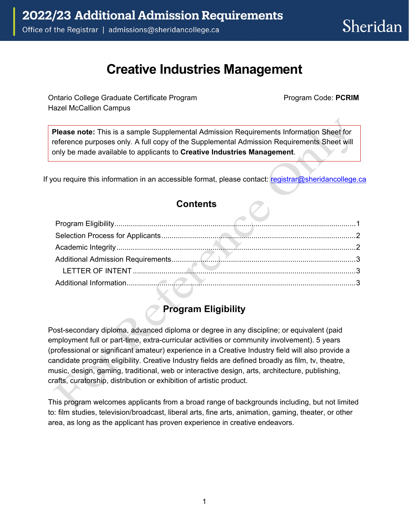# **Creative Industries Management**

Ontario College Graduate Certificate Program Hazel McCallion Campus

Program Code: **PCRIM**

**Please note:** This is a sample Supplemental Admission Requirements Information Sheet for reference purposes only. A full copy of the Supplemental Admission Requirements Sheet will only be made available to applicants to **Creative Industries Management**.

If you require this information in an accessible format, please contact: [registrar@sheridancollege.ca](mailto:registrar@sheridancollege.ca)

#### **Contents**

# **Program Eligibility**

<span id="page-0-0"></span>Post-secondary diploma, advanced diploma or degree in any discipline; or equivalent (paid employment full or part-time, extra-curricular activities or community involvement). 5 years (professional or significant amateur) experience in a Creative Industry field will also provide a candidate program eligibility. Creative Industry fields are defined broadly as film, tv, theatre, music, design, gaming, traditional, web or interactive design, arts, architecture, publishing, crafts, curatorship, distribution or exhibition of artistic product.

This program welcomes applicants from a broad range of backgrounds including, but not limited to: film studies, television/broadcast, liberal arts, fine arts, animation, gaming, theater, or other area, as long as the applicant has proven experience in creative endeavors.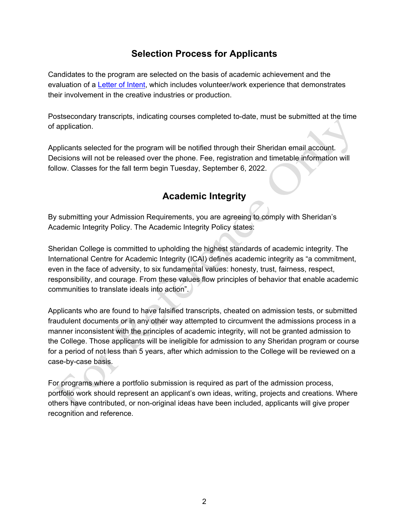### **Selection Process for Applicants**

<span id="page-1-0"></span>Candidates to the program are selected on the basis of academic achievement and the evaluation of a [Letter of Intent,](#page-2-1) which includes volunteer/work experience that demonstrates their involvement in the creative industries or production.

Postsecondary transcripts, indicating courses completed to-date, must be submitted at the time of application.

<span id="page-1-1"></span>Applicants selected for the program will be notified through their Sheridan email account. Decisions will not be released over the phone. Fee, registration and timetable information will follow. Classes for the fall term begin Tuesday, September 6, 2022.

# **Academic Integrity**

By submitting your Admission Requirements, you are agreeing to comply with Sheridan's Academic Integrity Policy. The Academic Integrity Policy states:

Sheridan College is committed to upholding the highest standards of academic integrity. The International Centre for Academic Integrity (ICAI) defines academic integrity as "a commitment, even in the face of adversity, to six fundamental values: honesty, trust, fairness, respect, responsibility, and courage. From these values flow principles of behavior that enable academic communities to translate ideals into action".

Applicants who are found to have falsified transcripts, cheated on admission tests, or submitted fraudulent documents or in any other way attempted to circumvent the admissions process in a manner inconsistent with the principles of academic integrity, will not be granted admission to the College. Those applicants will be ineligible for admission to any Sheridan program or course for a period of not less than 5 years, after which admission to the College will be reviewed on a case-by-case basis.

For programs where a portfolio submission is required as part of the admission process, portfolio work should represent an applicant's own ideas, writing, projects and creations. Where others have contributed, or non-original ideas have been included, applicants will give proper recognition and reference.